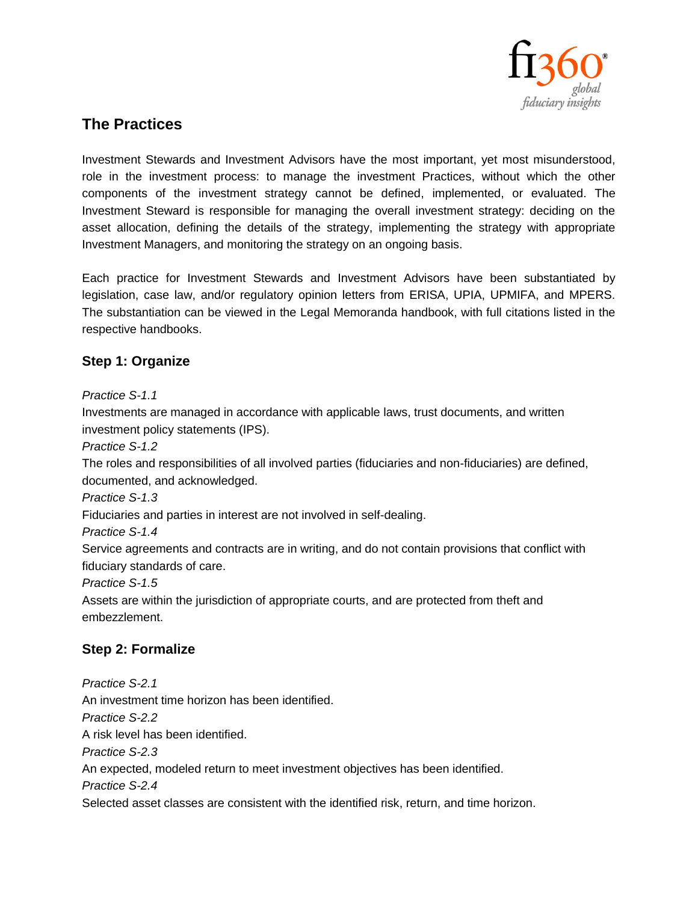

## **The Practices**

Investment Stewards and Investment Advisors have the most important, yet most misunderstood, role in the investment process: to manage the investment Practices, without which the other components of the investment strategy cannot be defined, implemented, or evaluated. The Investment Steward is responsible for managing the overall investment strategy: deciding on the asset allocation, defining the details of the strategy, implementing the strategy with appropriate Investment Managers, and monitoring the strategy on an ongoing basis.

Each practice for Investment Stewards and Investment Advisors have been substantiated by legislation, case law, and/or regulatory opinion letters from ERISA, UPIA, UPMIFA, and MPERS. The substantiation can be viewed in the Legal Memoranda handbook, with full citations listed in the respective handbooks.

### **Step 1: Organize**

*Practice S-1.1*

Investments are managed in accordance with applicable laws, trust documents, and written investment policy statements (IPS).

*Practice S-1.2*

The roles and responsibilities of all involved parties (fiduciaries and non-fiduciaries) are defined, documented, and acknowledged.

*Practice S-1.3*

Fiduciaries and parties in interest are not involved in self-dealing.

*Practice S-1.4*

Service agreements and contracts are in writing, and do not contain provisions that conflict with fiduciary standards of care.

*Practice S-1.5*

Assets are within the jurisdiction of appropriate courts, and are protected from theft and embezzlement.

#### **Step 2: Formalize**

*Practice S-2.1* An investment time horizon has been identified. *Practice S-2.2* A risk level has been identified. *Practice S-2.3* An expected, modeled return to meet investment objectives has been identified. *Practice S-2.4* Selected asset classes are consistent with the identified risk, return, and time horizon.